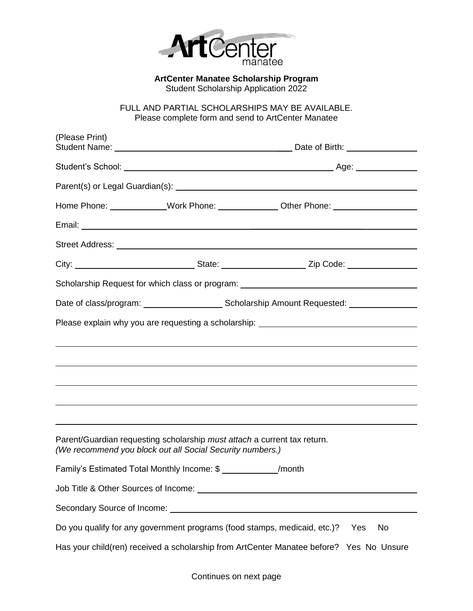

**ArtCenter Manatee Scholarship Program** Student Scholarship Application 2022

FULL AND PARTIAL SCHOLARSHIPS MAY BE AVAILABLE. Please complete form and send to ArtCenter Manatee

| (Please Print)                                                                          |                                                                                                                                       |                                                                                                                                                                                                                               |  |  |
|-----------------------------------------------------------------------------------------|---------------------------------------------------------------------------------------------------------------------------------------|-------------------------------------------------------------------------------------------------------------------------------------------------------------------------------------------------------------------------------|--|--|
|                                                                                         |                                                                                                                                       |                                                                                                                                                                                                                               |  |  |
|                                                                                         |                                                                                                                                       |                                                                                                                                                                                                                               |  |  |
|                                                                                         |                                                                                                                                       | Home Phone: _____________Work Phone: ______________Other Phone: ________________                                                                                                                                              |  |  |
|                                                                                         |                                                                                                                                       |                                                                                                                                                                                                                               |  |  |
|                                                                                         |                                                                                                                                       | Street Address: No. 2016. The Contract of the Contract of the Contract of the Contract of the Contract of the Contract of the Contract of the Contract of the Contract of the Contract of the Contract of the Contract of the |  |  |
|                                                                                         |                                                                                                                                       | City: __________________________________State: ________________________Zip Code: __________________                                                                                                                           |  |  |
|                                                                                         |                                                                                                                                       | Scholarship Request for which class or program: ________________________________                                                                                                                                              |  |  |
|                                                                                         |                                                                                                                                       |                                                                                                                                                                                                                               |  |  |
|                                                                                         |                                                                                                                                       | Please explain why you are requesting a scholarship: ___________________________                                                                                                                                              |  |  |
|                                                                                         |                                                                                                                                       |                                                                                                                                                                                                                               |  |  |
|                                                                                         |                                                                                                                                       |                                                                                                                                                                                                                               |  |  |
|                                                                                         |                                                                                                                                       |                                                                                                                                                                                                                               |  |  |
|                                                                                         |                                                                                                                                       | <u> 2000 - Andrea Andrewski, marski politik (d. 1989)</u>                                                                                                                                                                     |  |  |
|                                                                                         |                                                                                                                                       | ,我们也不会有一个人的人,我们也不会有一个人的人,我们也不会有一个人的人,我们也不会有一个人的人。""我们的人,我们也不会有一个人的人,我们也不会有一个人的人,                                                                                                                                              |  |  |
|                                                                                         | Parent/Guardian requesting scholarship must attach a current tax return.<br>(We recommend you block out all Social Security numbers.) |                                                                                                                                                                                                                               |  |  |
|                                                                                         | Family's Estimated Total Monthly Income: \$ ______________/month                                                                      |                                                                                                                                                                                                                               |  |  |
|                                                                                         |                                                                                                                                       |                                                                                                                                                                                                                               |  |  |
|                                                                                         |                                                                                                                                       |                                                                                                                                                                                                                               |  |  |
|                                                                                         | Do you qualify for any government programs (food stamps, medicaid, etc.)?                                                             | Yes<br>No                                                                                                                                                                                                                     |  |  |
| Has your child(ren) received a scholarship from ArtCenter Manatee before? Yes No Unsure |                                                                                                                                       |                                                                                                                                                                                                                               |  |  |